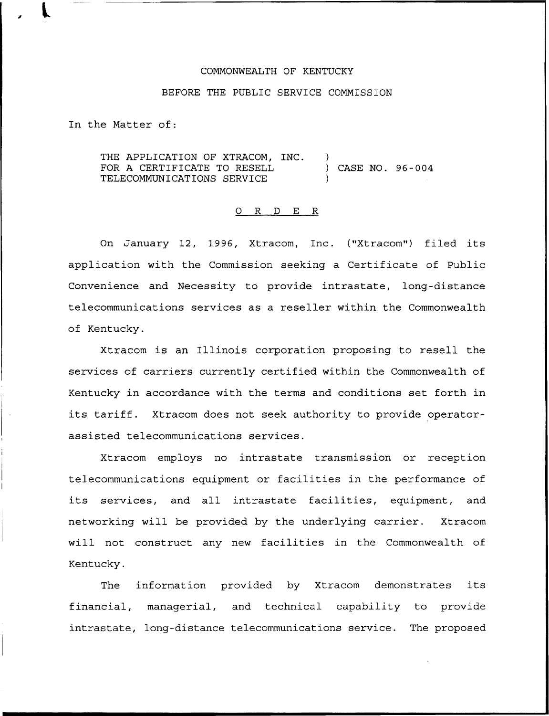## COMMONWEALTH OF KENTUCKY

## BEFORE THE PUBLIC SERVICE COMMISSION

In the Matter of:

THE APPLICATION OF XTRACOM, INC. FOR A CERTIFICATE TO RESELL TELECOMMUNICATIONS SERVICE ) ) CASE NO. 96-004 )

## 0 R <sup>D</sup> E R

On January 12, 1996, Xtracom, Inc. ("Xtracom") filed its application with the Commission seeking a Certificate of Public Convenience and Necessity to provide intrastate, long-distance telecommunications services as a reseller within the Commonwealth of Kentucky.

Xtracom is an Illinois corporation proposing to resell the services of carriers currently certified within the Commonwealth of Kentucky in accordance with the terms and conditions set forth in its tariff. Xtracom does not seek authority to provide operatorassisted telecommunications services.

Xtracom employs no intrastate transmission or reception telecommunications equipment or facilities in the performance of its services, and all intrastate facilities, equipment, and networking will be provided by the underlying carrier. Xtracom will not construct any new facilities in the Commonwealth of Kentucky.

The information provided by Xtracom demonstrates its financial, managerial, and technical capability to provide intrastate, long-distance telecommunications service. The proposed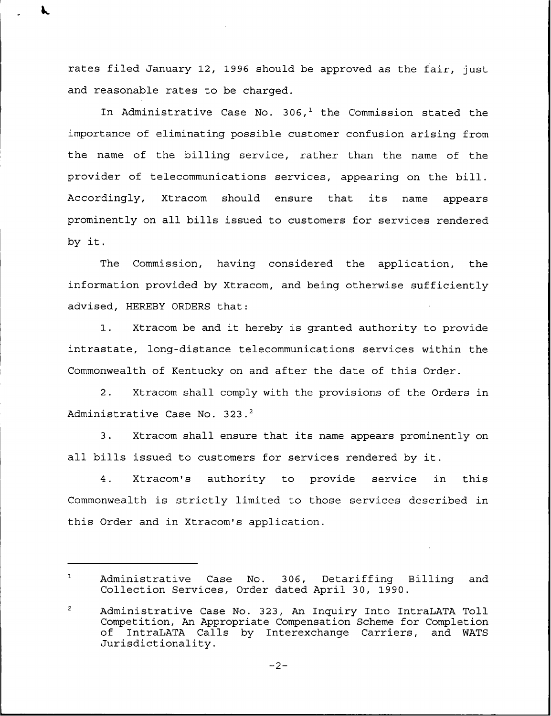rates filed January 12, 1996 should be approved as the fair, just and reasonable rates to be charged.

In Administrative Case No. 306,<sup>1</sup> the Commission stated the importance of eliminating possible customer confusion arising from the name of the billing service, rather than the name of the provider of telecommunications services, appearing on the bill. Accordingly, Xtracom should ensure that its name appears prominently on all bills issued to customers for services rendered by it.

The Commission, having considered the application, the information provided by Xtracom, and being otherwise sufficiently advised, HEREBY ORDERS that:

1. Xtracom be and it hereby is granted authority to provide intrastate, long-distance telecommunications services within the Commonwealth of Kentucky on and after the date of this Order.

2. Xtracom shall comply with the provisions of the Orders in Administrative Case No. 323.<sup>2</sup>

 $\overline{3}$ . Xtracom shall ensure that its name appears prominently on all bills issued to customers for services rendered by it.

4. Xtracom's authority to provide service in this Commonwealth is strictly limited to those services described in this Order and in Xtracom's application.

 $-2-$ 

 $\mathbf{1}$ Administrative Case No. 306, Detariffing Billing and Collection Services, Order dated April 30, 1990.

 $\overline{2}$ Administrative Case No. 323, An Inquiry Into IntraLATA Toll Competition, An Appropriate Compensation Scheme for Completion IntraLATA Calls by Interexchange Carriers, Jurisdictionality.